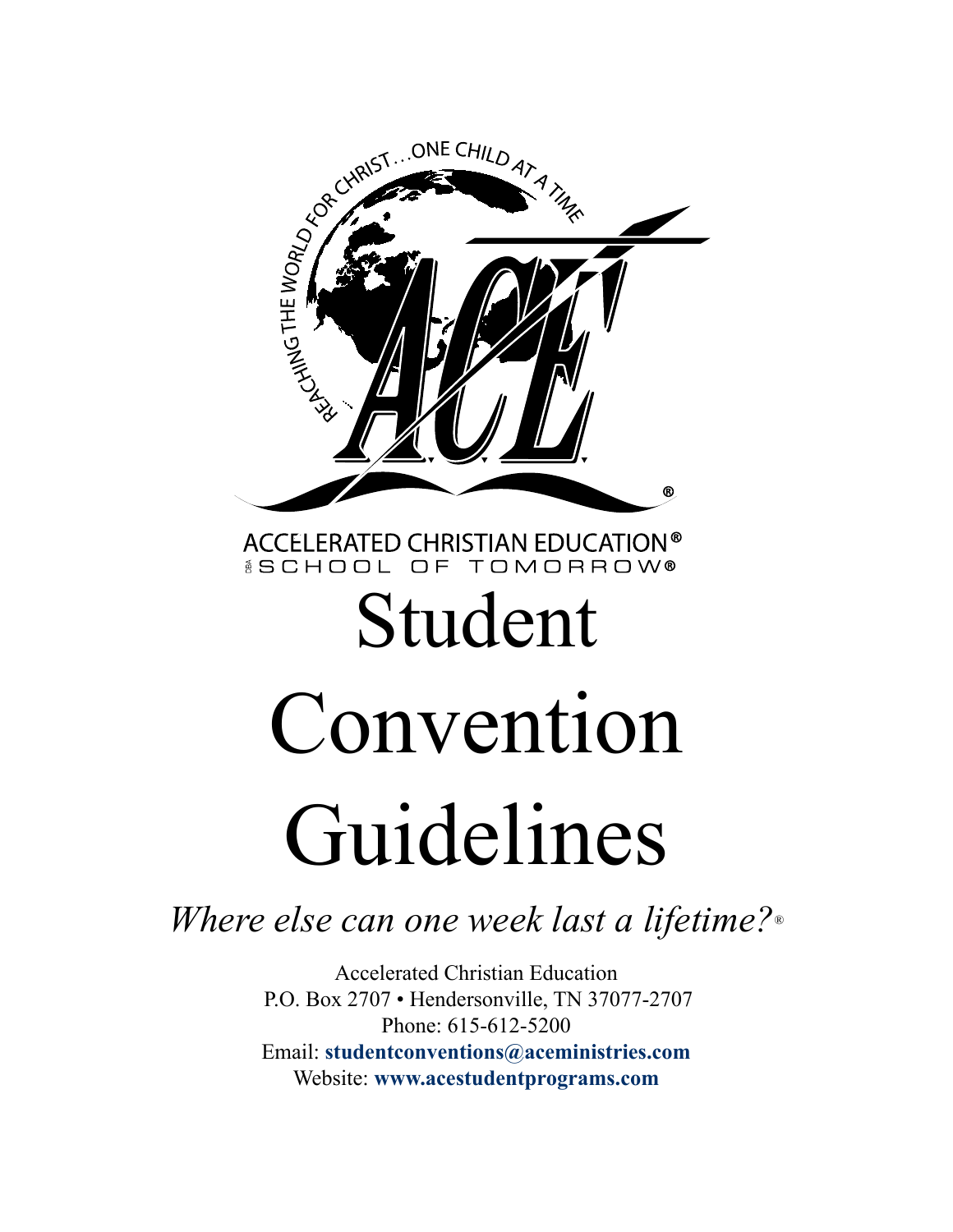

*Where else can one week last a lifetime?®*

Accelerated Christian Education P.O. Box 2707 • Hendersonville, TN 37077-2707 Phone: 615-612-5200 Email: **[studentconventions@aceministries.com](mailto:%20studentconventions%40aceministries.com?subject=)** Website: **[www.](https://www.acestudentprograms.com/about-isc)acestudentprograms.com**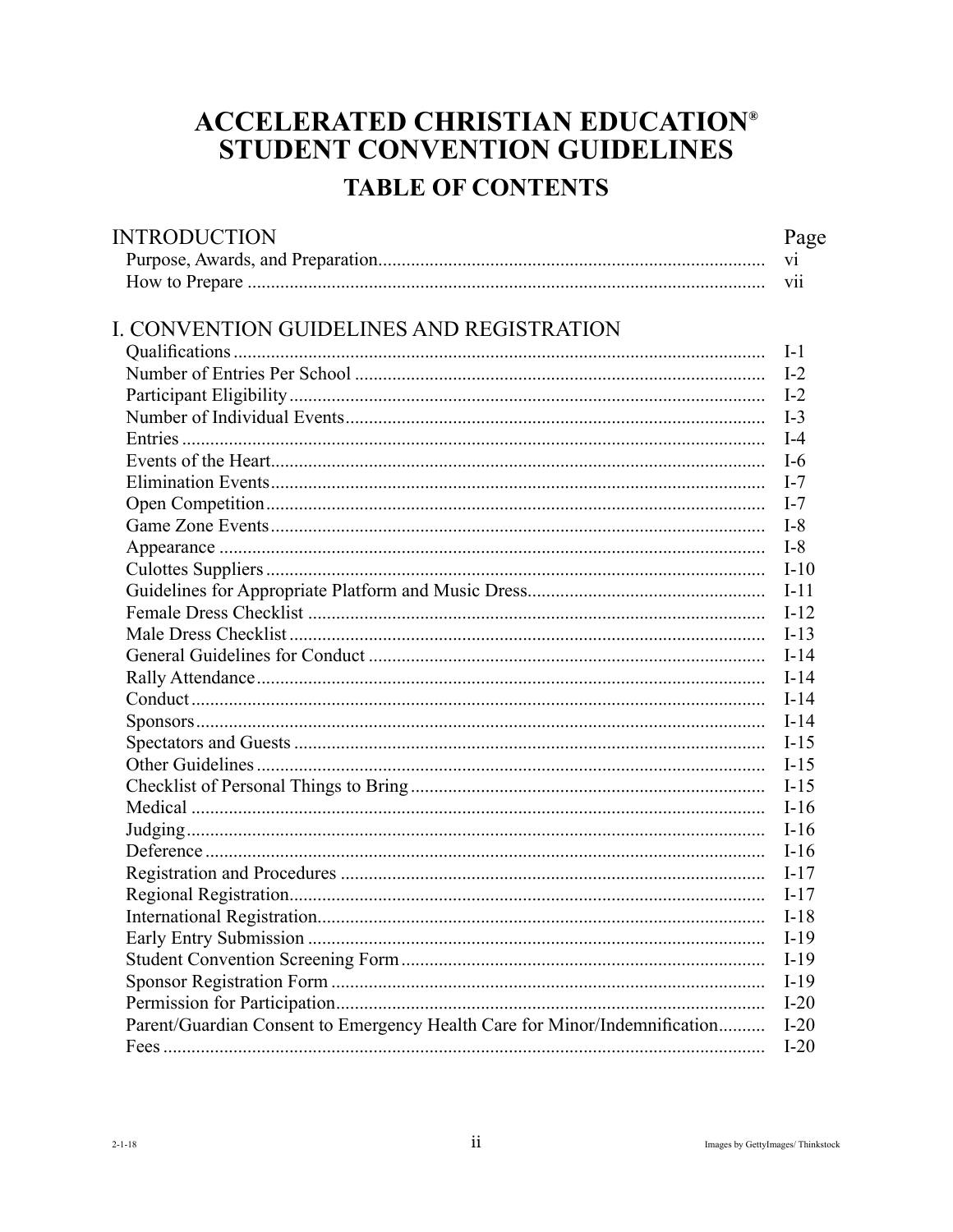# **ACCELERATED CHRISTIAN EDUCATION®** STUDENT CONVENTION GUIDELINES

# **TABLE OF CONTENTS**

| <b>INTRODUCTION</b>                                                        |
|----------------------------------------------------------------------------|
|                                                                            |
|                                                                            |
|                                                                            |
| I. CONVENTION GUIDELINES AND REGISTRATION                                  |
|                                                                            |
|                                                                            |
|                                                                            |
|                                                                            |
|                                                                            |
|                                                                            |
|                                                                            |
|                                                                            |
|                                                                            |
|                                                                            |
|                                                                            |
|                                                                            |
|                                                                            |
|                                                                            |
|                                                                            |
|                                                                            |
|                                                                            |
|                                                                            |
|                                                                            |
|                                                                            |
|                                                                            |
|                                                                            |
|                                                                            |
|                                                                            |
|                                                                            |
|                                                                            |
|                                                                            |
|                                                                            |
|                                                                            |
|                                                                            |
|                                                                            |
| Parent/Guardian Consent to Emergency Health Care for Minor/Indemnification |
|                                                                            |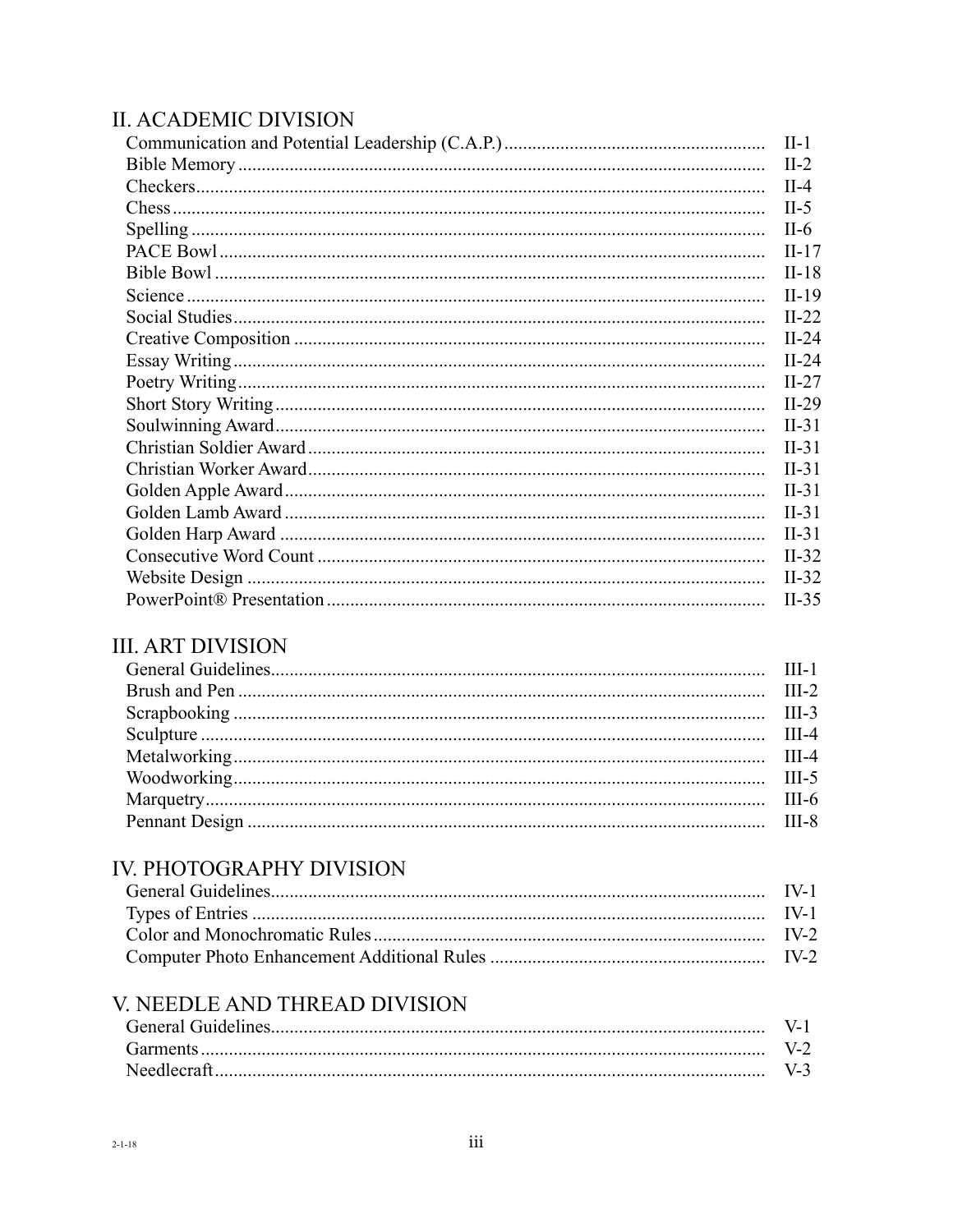#### **II. ACADEMIC DIVISION**

| $II-1$  |
|---------|
| $II-2$  |
| $II-4$  |
| $II-5$  |
| $II-6$  |
| $II-17$ |
| $II-18$ |
| $II-19$ |
| $II-22$ |
| $II-24$ |
| $II-24$ |
| $II-27$ |
| $II-29$ |
| $II-31$ |
| $II-31$ |
| $II-31$ |
| $II-31$ |
| $II-31$ |
| $II-31$ |
| $II-32$ |
| $II-32$ |
| $II-35$ |

### **III. ART DIVISION**

### IV. PHOTOGRAPHY DIVISION

### V. NEEDLE AND THREAD DIVISION

| Garments    |  |
|-------------|--|
| Needlecraft |  |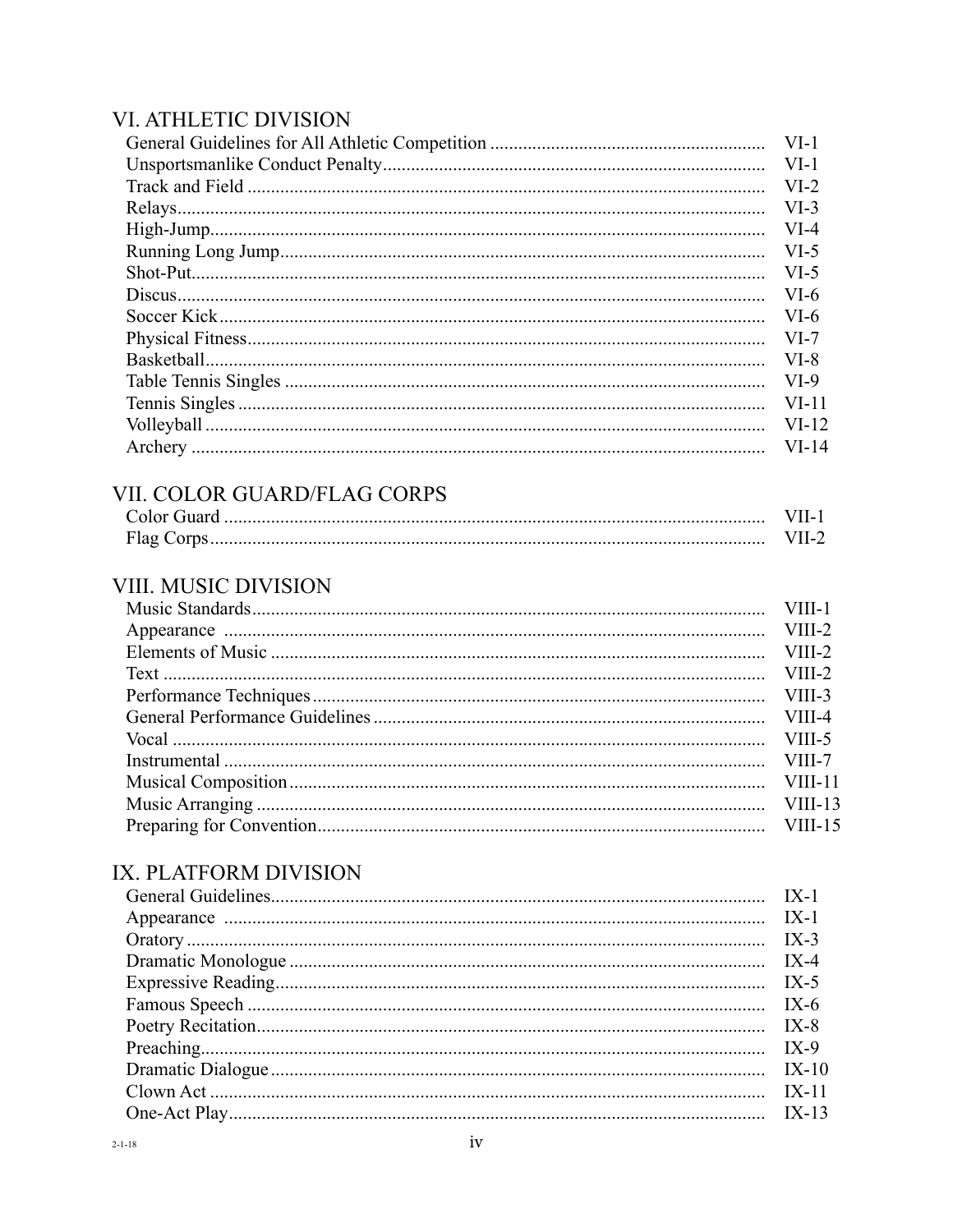#### VI. ATHLETIC DIVISION

| $VI-1$  |
|---------|
| $VI-1$  |
| $VI-2$  |
| $VI-3$  |
| $VI-4$  |
| $VI-5$  |
| $VI-5$  |
| $VI-6$  |
| $VI-6$  |
| $VI-7$  |
| $VI-8$  |
| $VI-9$  |
| $VI-11$ |
| $VI-12$ |
| $VI-14$ |

### VII. COLOR GUARD/FLAG CORPS

| Color Guard |  |
|-------------|--|
| Flag Corps  |  |

### VIII. MUSIC DIVISION

### IX. PLATFORM DIVISION

| $IX-10$ |
|---------|
|         |
|         |
|         |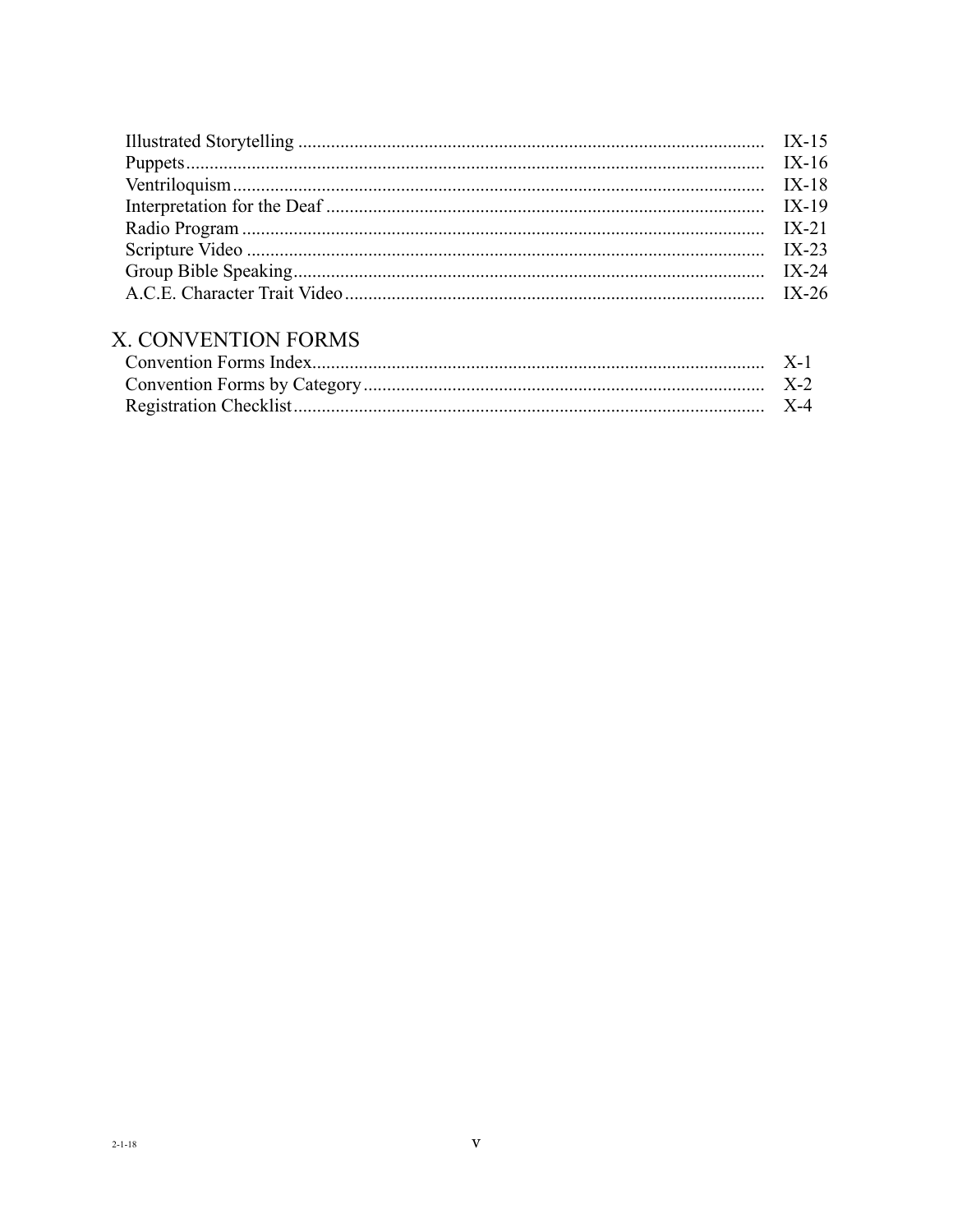| $IX-24$ |
|---------|
|         |
|         |
|         |

# X. CONVENTION FORMS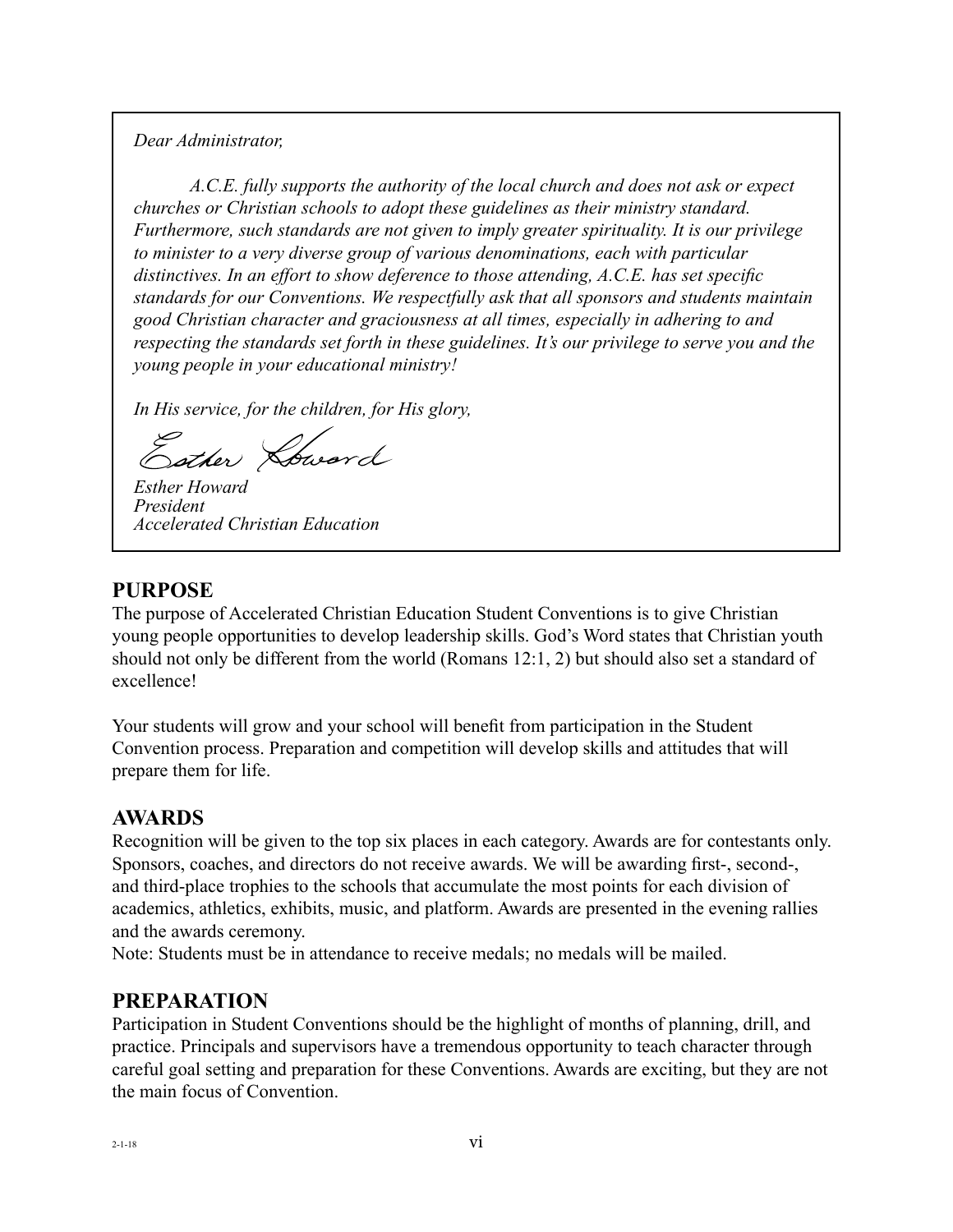*Dear Administrator,*

*A.C.E. fully supports the authority of the local church and does not ask or expect churches or Christian schools to adopt these guidelines as their ministry standard. Furthermore, such standards are not given to imply greater spirituality. It is our privilege to minister to a very diverse group of various denominations, each with particular distinctives. In an effort to show deference to those attending, A.C.E. has set specific standards for our Conventions. We respectfully ask that all sponsors and students maintain good Christian character and graciousness at all times, especially in adhering to and respecting the standards set forth in these guidelines. It's our privilege to serve you and the young people in your educational ministry!*

*In His service, for the children, for His glory,*

Sother Loward

*Esther Howard President Accelerated Christian Education*

#### **PURPOSE**

The purpose of Accelerated Christian Education Student Conventions is to give Christian young people opportunities to develop leadership skills. God's Word states that Christian youth should not only be different from the world (Romans 12:1, 2) but should also set a standard of excellence!

Your students will grow and your school will benefit from participation in the Student Convention process. Preparation and competition will develop skills and attitudes that will prepare them for life.

### **AWARDS**

Recognition will be given to the top six places in each category. Awards are for contestants only. Sponsors, coaches, and directors do not receive awards. We will be awarding first-, second-, and third-place trophies to the schools that accumulate the most points for each division of academics, athletics, exhibits, music, and platform. Awards are presented in the evening rallies and the awards ceremony.

Note: Students must be in attendance to receive medals; no medals will be mailed.

#### **PREPARATION**

Participation in Student Conventions should be the highlight of months of planning, drill, and practice. Principals and supervisors have a tremendous opportunity to teach character through careful goal setting and preparation for these Conventions. Awards are exciting, but they are not the main focus of Convention.